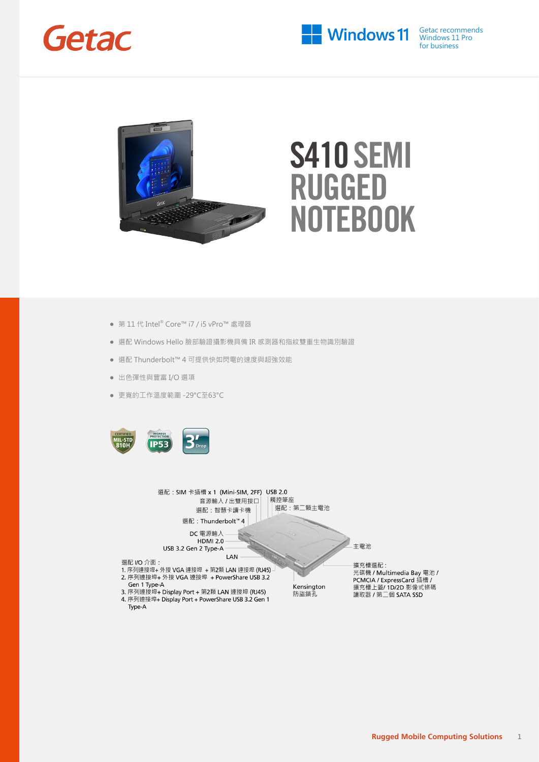



- 第 11 代 Intel® Core™ i7 / i5 vPro™ 處理器
- 選配 Windows Hello 臉部驗證攝影機具備 IR 感測器和指紋雙重生物識別驗證
- 選配 Thunderbolt™ 4 可提供快如閃電的速度與超強效能
- 出色彈性與豐富 I/O 選項
- 更寬的工作溫度範圍 -29°C至63°C



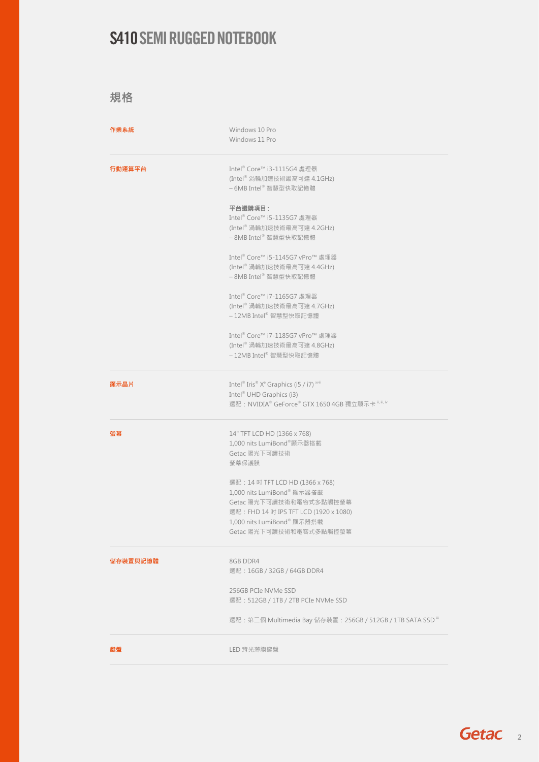規格

| 作業系統     | Windows 10 Pro<br>Windows 11 Pro                                                                                                                                                                         |
|----------|----------------------------------------------------------------------------------------------------------------------------------------------------------------------------------------------------------|
| 行動運算平台   | Intel <sup>®</sup> Core™ i3-1115G4 處理器<br>(Intel® 渦輪加速技術最高可達 4.1GHz)<br>-6MB Intel®智慧型快取記憶體                                                                                                              |
|          | 平台選購項目:<br>Intel <sup>®</sup> Core™ i5-1135G7 處理器<br>(Intel® 渦輪加速技術最高可達 4.2GHz)<br>-8MB Intel®智慧型快取記憶體                                                                                                   |
|          | Intel® Core™ i5-1145G7 vPro™ 處理器<br>(Intel® 渦輪加速技術最高可達 4.4GHz)<br>- 8MB Intel® 智慧型快取記憶體                                                                                                                  |
|          | Intel <sup>®</sup> Core™ i7-1165G7 處理器<br>(Intel® 渦輪加速技術最高可達 4.7GHz)<br>-12MB Intel® 智慧型快取記憶體                                                                                                            |
|          | Intel® Core™ i7-1185G7 vPro™ 處理器<br>(Intel® 渦輪加速技術最高可達 4.8GHz)<br>– 12MB Intel® 智慧型快取記憶體                                                                                                                 |
| 顯示晶片     | Intel® Iris® X <sup>e</sup> Graphics (i5 / i7) <sup>xvii</sup><br>Intel <sup>®</sup> UHD Graphics (i3)<br>選配: NVIDIA® GeForce® GTX 1650 4GB 獨立顯示卡 $^{\text{ii,iii,iv}}$                                  |
| 螢幕       | 14" TFT LCD HD (1366 x 768)<br>1,000 nits LumiBond®顯示器搭載<br>Getac 陽光下可讀技術<br>螢幕保護膜                                                                                                                       |
|          | 選配: 14 吋 TFT LCD HD (1366 x 768)<br>1,000 nits LumiBond® 顯示器搭載<br>Getac 陽光下可讀技術和電容式多點觸控螢幕<br>選配: FHD 14 吋 IPS TFT LCD (1920 x 1080)<br>1,000 nits LumiBond <sup>®</sup> 顯示器搭載<br>Getac 陽光下可讀技術和電容式多點觸控螢幕 |
| 儲存裝置與記憶體 | 8GB DDR4<br>選配: 16GB / 32GB / 64GB DDR4                                                                                                                                                                  |
|          | 256GB PCIe NVMe SSD<br>選配: 512GB / 1TB / 2TB PCIe NVMe SSD                                                                                                                                               |
|          | 選配: 第二個 Multimedia Bay 儲存裝置: 256GB / 512GB / 1TB SATA SSD iii                                                                                                                                            |
| 鍵盤       | LED 背光薄膜鍵盤                                                                                                                                                                                               |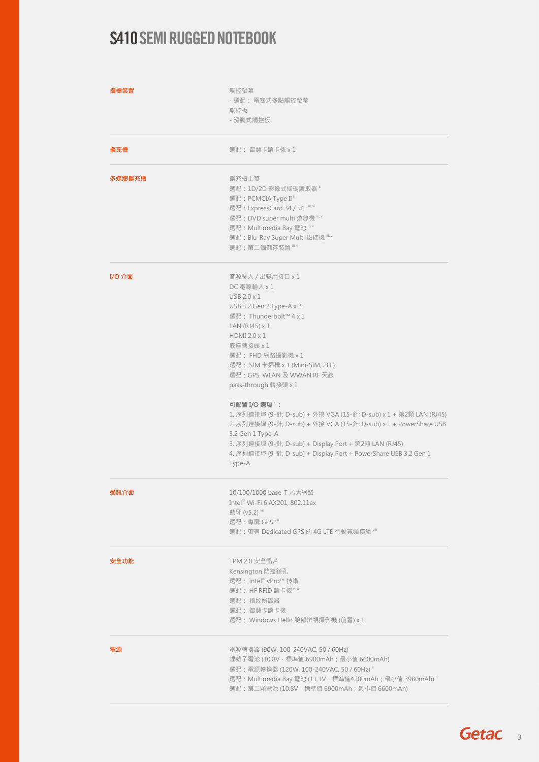| 指標裝置   | 觸控螢幕<br>- 選配: 電容式多點觸控螢幕<br>觸控板<br>- 滑動式觸控板                                                                                                                                                                                                                                                                                                                                                                                                                                                                                                                                                   |  |
|--------|----------------------------------------------------------------------------------------------------------------------------------------------------------------------------------------------------------------------------------------------------------------------------------------------------------------------------------------------------------------------------------------------------------------------------------------------------------------------------------------------------------------------------------------------------------------------------------------------|--|
| 擴充槽    | 選配: 智慧卡讀卡機 x 1                                                                                                                                                                                                                                                                                                                                                                                                                                                                                                                                                                               |  |
| 多媒體擴充槽 | 擴充槽上蓋<br>選配: 1D/2D 影像式條碼讀取器 "<br>選配: PCMCIA Type II <sup>ii</sup><br>選配: ExpressCard 34 / 54 i, iii, vi<br>選配: DVD super multi 燒錄機 iii, v<br>選配: Multimedia Bay 電池 iii, v<br>選配: Blu-Ray Super Multi 磁碟機<br>選配:第二個儲存裝置 "" "                                                                                                                                                                                                                                                                                                                                                                  |  |
| I/O 介面 | 音源輸入 / 出雙用接口 x 1<br>DC 電源輸入 x 1<br>USB 2.0 x 1<br>USB 3.2 Gen 2 Type-A x 2<br>選配: Thunderbolt™ 4 x 1<br>LAN $(RJ45) \times 1$<br>HDMI 2.0 x 1<br>底座轉接頭 x 1<br>選配: FHD 網路攝影機 x 1<br>選配: SIM 卡插槽 x 1 (Mini-SIM, 2FF)<br>選配: GPS, WLAN 及 WWAN RF 天線<br>pass-through 轉接頭 x 1<br>可配置 I/O 選項":<br>1. 序列連接埠 (9-針; D-sub) + 外接 VGA (15-針; D-sub) x 1 + 第2顆 LAN (RJ45)<br>2. 序列連接埠 (9-針; D-sub) + 外接 VGA (15-針; D-sub) x 1 + PowerShare USB<br>3.2 Gen 1 Type-A<br>3. 序列連接埠 (9-針; D-sub) + Display Port + 第2顆 LAN (RJ45)<br>4. 序列連接埠 (9-針; D-sub) + Display Port + PowerShare USB 3.2 Gen 1<br>Type-A |  |
| 通訊介面   | 10/100/1000 base-T 乙太網路<br>Intel <sup>®</sup> Wi-Fi 6 AX201, 802.11ax<br>藍牙 (v5.2) vii<br>選配:專屬 GPS viii<br>選配:帶有 Dedicated GPS 的 4G LTE 行動寬頻模組 ""                                                                                                                                                                                                                                                                                                                                                                                                                                           |  |
| 安全功能   | TPM 2.0 安全晶片<br>Kensington 防盜鎖孔<br>選配: Intel® vPro™ 技術<br>選配: HF RFID 讀卡機 ", x<br>選配: 指紋辨識器<br>選配:智慧卡讀卡機<br>選配: Windows Hello 臉部辨視攝影機 (前置) x 1                                                                                                                                                                                                                                                                                                                                                                                                                                               |  |
| 電源     | 電源轉換器 (90W, 100-240VAC, 50 / 60Hz)<br>鋰離子電池 (10.8V,標準值 6900mAh; 最小值 6600mAh)<br>選配: 電源轉換器 (120W, 100-240VAC, 50 / 60Hz) ii<br>選配: Multimedia Bay 電池 (11.1V,槽準值4200mAh;最小值 3980mAh)<br>選配: 第二顆電池 (10.8V, 標準值 6900mAh; 最小值 6600mAh)                                                                                                                                                                                                                                                                                                                                                            |  |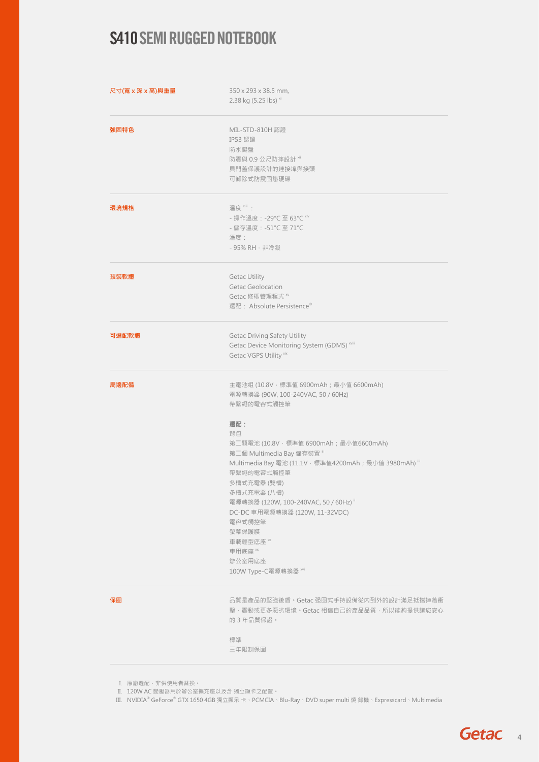| 尺寸(寬 x 深 x 高)與重量 | 350 x 293 x 38.5 mm,<br>2.38 kg (5.25 lbs) xi<br>MIL-STD-810H 認證<br>IP53 認證<br>防水鍵盤<br>防震與 0.9 公尺防摔設計™<br>具門蓋保護設計的連接埠與接頭<br>可卸除式防震固態硬碟                                                                                                                                                                                                                                                                                                    |  |
|------------------|-------------------------------------------------------------------------------------------------------------------------------------------------------------------------------------------------------------------------------------------------------------------------------------------------------------------------------------------------------------------------------------------------------------------------------------------|--|
| 強固特色             |                                                                                                                                                                                                                                                                                                                                                                                                                                           |  |
| 環境規格             | 溫度 *iii :<br>- 操作溫度 : -29℃至 63℃ <sup>xiv</sup><br>- 儲存溫度: -51°C至71°C<br>溼度:<br>- 95% RH · 非冷凝                                                                                                                                                                                                                                                                                                                                             |  |
| 預裝軟體             | <b>Getac Utility</b><br>Getac Geolocation<br>Getac 條碼管理程式 ~<br>選配: Absolute Persistence <sup>®</sup>                                                                                                                                                                                                                                                                                                                                      |  |
| 可選配軟體            | Getac Driving Safety Utility<br>Getac Device Monitoring System (GDMS) xviii<br>Getac VGPS Utility xix                                                                                                                                                                                                                                                                                                                                     |  |
| 周邊配備             | 主電池组 (10.8V,槽準值 6900mAh;最小值 6600mAh)<br>電源轉換器 (90W, 100-240VAC, 50 / 60Hz)<br>帶繫繩的電容式觸控筆<br>選配:<br>背包<br>第二顆電池 (10.8V,標準值 6900mAh;最小值6600mAh)<br>第二個 Multimedia Bay 儲存裝置 iii<br>Multimedia Bay 電池 (11.1V, 標準值4200mAh; 最小值 3980mAh) iii<br>帶繫繩的電容式觸控筆<br>多槽式充電器 (雙槽)<br>多槽式充電器 (八槽)<br>電源轉換器 (120W, 100-240VAC, 50 / 60Hz) ii<br>DC-DC 車用電源轉換器 (120W, 11-32VDC)<br>電容式觸控筆<br>螢幕保護膜<br>車載輕型底座 ※<br>車用底座 ※<br>辦公室用底座<br>100W Type-C電源轉換器 xvi |  |
| 保固               | 品質是產品的堅強後盾。Getac 强固式手持設備從内到外的設計滿足抵擋掉落衝<br>擊、震動或更多惡劣環境。Getac 相信自己的產品品質,所以能夠提供讓您安心<br>的3年品質保證。                                                                                                                                                                                                                                                                                                                                              |  |
|                  | 標準<br>三年限制保固                                                                                                                                                                                                                                                                                                                                                                                                                              |  |

I. 原廠選配·非供使用者替換·

II. 120W AC 變壓器用於辦公室擴充座以及含 獨立顯卡之配置。

III. NVIDIA® GeForce® GTX 1650 4GB 獨立顯示 卡、PCMCIA、Blu-Ray、DVD super multi 燒 錄機、Expresscard、Multimedia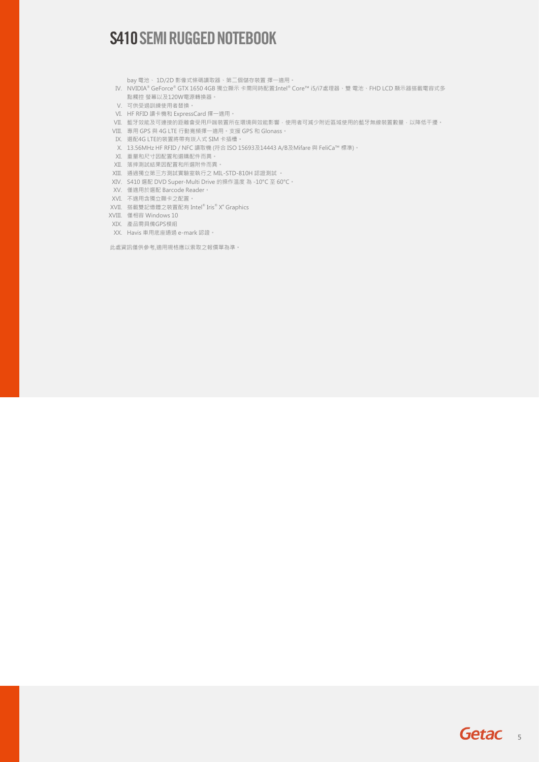- bay 電池、 1D/2D 影像式條碼讀取器、第二個儲存裝置 擇一適用。
- IV. NVIDIA® GeForce® GTX 1650 4GB 獨立顯示 卡需同時配置:Intel® Core™ i5/i7處理器、雙 電池、FHD LCD 顯示器搭載電容式多 點觸控 螢幕以及120W電源轉換器。
- V. 可供受過訓練使用者替換。
- VI. HF RFID 讀卡機和 ExpressCard 擇一適用。
- VII. 藍牙效能及可連接的距離會受用戶端裝置所在環境與效能影響,使用者可減少附近區域使用的藍牙無線裝置數量,以降低干擾。
- VIII. 專用 GPS 與 4G LTE 行動寬頻擇一適用。支援 GPS 和 Glonass。
- IX. 選配4G LTE的裝置將帶有崁入式 SIM 卡插槽。
- X. 13.56MHz HF RFID / NFC 讀取機 (符合 ISO 15693及14443 A/B及Mifare 與 FeliCa™ 標準)。
- XI. 重量和尺寸因配置和選購配件而異。
- XII. 落摔測試結果因配置和所選附件而異。
- XIII. 通過獨立第三方測試實驗室執行之 MIL-STD-810H 認證測試 。
- XIV. S410 選配 DVD Super-Multi Drive 的操作溫度 為 -10°C 至 60°C。
- XV. 僅適用於選配 Barcode Reader。
- XVI. 不適用含獨立顯卡之配置。
- XVII. 搭載雙記憶體之裝置配有 Intel® Iris® Xe Graphics
- XVIII. 僅相容 Windows 10
- XIX. 產品需具備GPS模組
- XX. Havis 車用底座通過 e-mark 認證。

此處資訊僅供參考,適用規格應以索取之報價單為準。